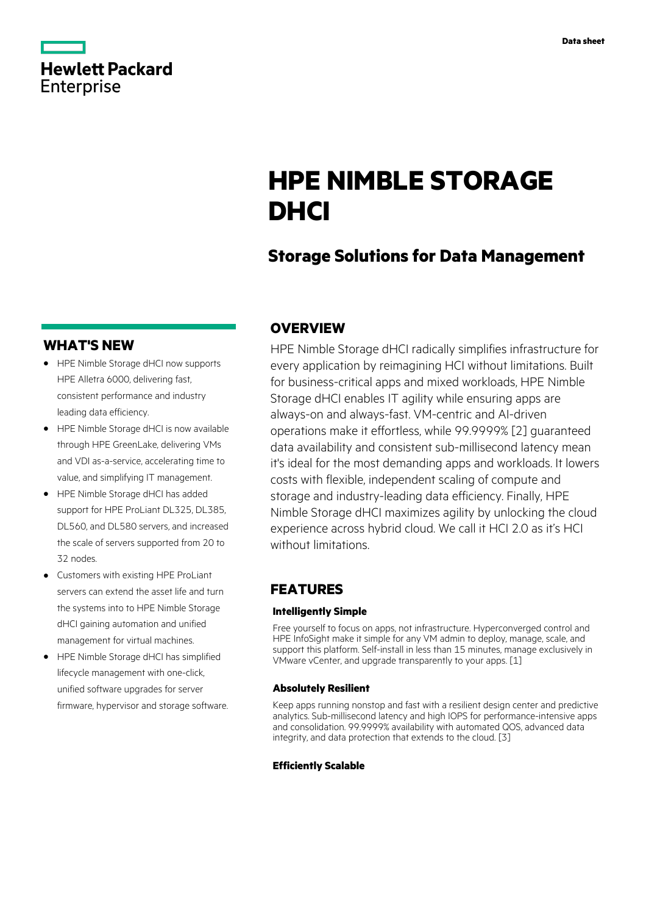| <b>Hewlett Packard</b> |
|------------------------|
| <b>Enterprise</b>      |
|                        |

# **HPE NIMBLE STORAGE DHCI**

# **Storage Solutions for Data Management**

### **WHAT'S NEW**

- **·** HPE Nimble Storage dHCI now supports HPE Alletra 6000, delivering fast, consistent performance and industry leading data efficiency.
- **·** HPE Nimble Storage dHCI is now available through HPE GreenLake, delivering VMs and VDI as-a-service, accelerating time to value, and simplifying IT management.
- **·** HPE Nimble Storage dHCI has added support for HPE ProLiant DL325, DL385, DL560, and DL580 servers, and increased the scale of servers supported from 20 to 32 nodes.
- **·** Customers with existing HPE ProLiant servers can extend the asset life and turn the systems into to HPE Nimble Storage dHCI gaining automation and unified management for virtual machines.
- **·** HPE Nimble Storage dHCI has simplified lifecycle management with one-click, unified software upgrades for server firmware, hypervisor and storage software.

## **OVERVIEW**

HPE Nimble Storage dHCI radically simplifies infrastructure for every application by reimagining HCI without limitations. Built for business-critical apps and mixed workloads, HPE Nimble Storage dHCI enables IT agility while ensuring apps are always-on and always-fast. VM-centric and AI-driven operations make it effortless, while 99.9999% [2] guaranteed data availability and consistent sub-millisecond latency mean it's ideal for the most demanding apps and workloads. It lowers costs with flexible, independent scaling of compute and storage and industry-leading data efficiency. Finally, HPE Nimble Storage dHCI maximizes agility by unlocking the cloud experience across hybrid cloud. We call it HCI 2.0 as it's HCI without limitations.

## **FEATURES**

#### **Intelligently Simple**

Free yourself to focus on apps, not infrastructure. Hyperconverged control and HPE InfoSight make it simple for any VM admin to deploy, manage, scale, and support this platform. Self-install in less than 15 minutes, manage exclusively in VMware vCenter, and upgrade transparently to your apps. [1]

#### **Absolutely Resilient**

Keep apps running nonstop and fast with a resilient design center and predictive analytics. Sub-millisecond latency and high IOPS for performance-intensive apps and consolidation. 99.9999% availability with automated QOS, advanced data integrity, and data protection that extends to the cloud. [3]

#### **Efficiently Scalable**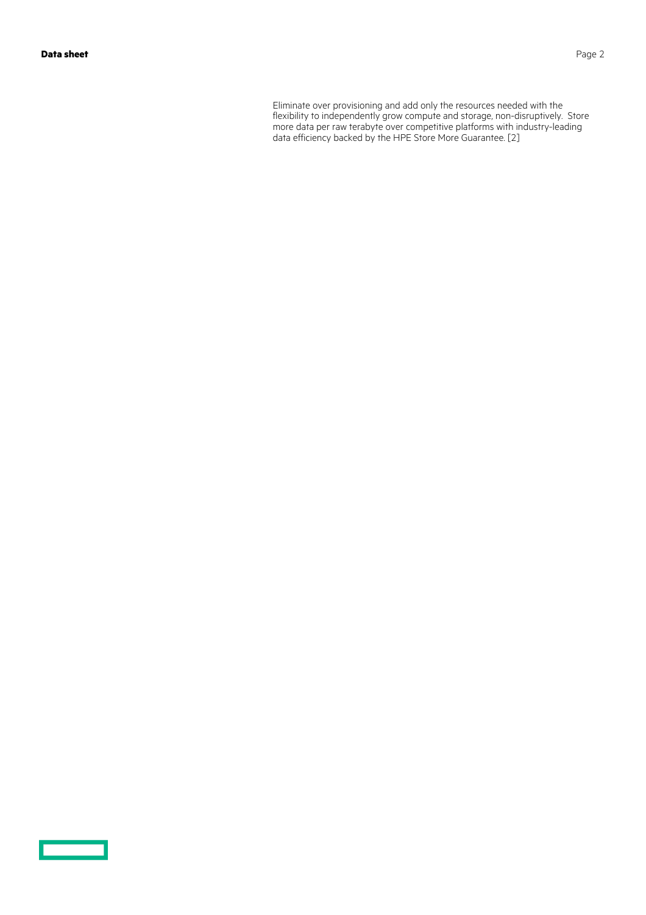<u>and the second</u>

Eliminate over provisioning and add only the resources needed with the flexibility to independently grow compute and storage, non-disruptively. Store more data per raw terabyte over competitive platforms with industry-leading data efficiency backed by the HPE Store More Guarantee. [2]